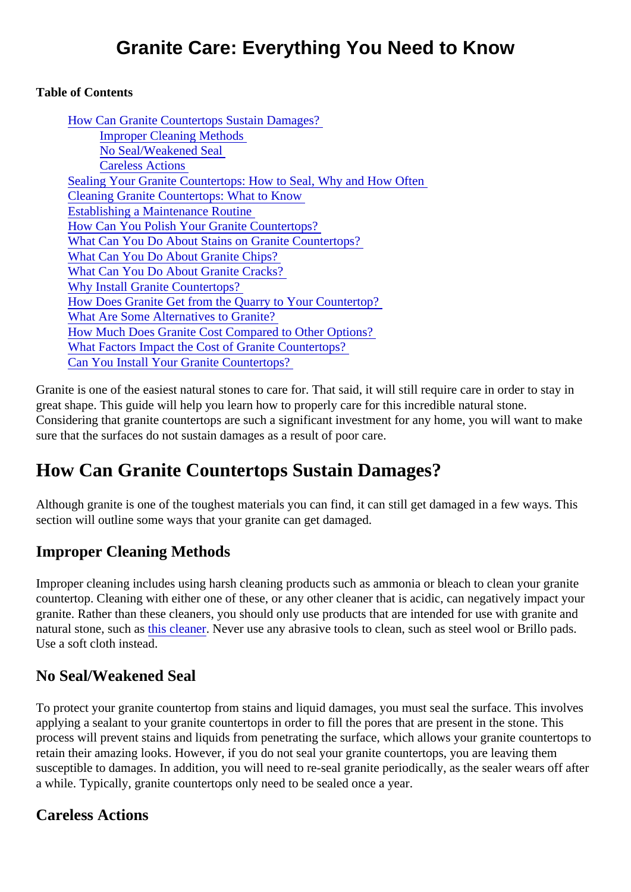#### Table of Contents

| How Can Granite Countertops Sustain Damages?                     |
|------------------------------------------------------------------|
| <b>Improper Cleaning Methods</b>                                 |
| No Seal/Weakened Seal                                            |
| <b>Careless Actions</b>                                          |
| Sealing Your Granite Countertops: How to Seal, Why and How Often |
| <b>Cleaning Granite Countertops: What to Know</b>                |
| <b>Establishing a Maintenance Routine</b>                        |
| How Can You Polish Your Granite Countertops?                     |
| What Can You Do About Stains on Granite Countertops?             |
| <b>What Can You Do About Granite Chips?</b>                      |
| <b>What Can You Do About Granite Cracks?</b>                     |
| <b>Why Install Granite Countertops?</b>                          |
| How Does Granite Get from the Quarry to Your Countertop?         |
| <b>What Are Some Alternatives to Granite?</b>                    |
| How Much Does Granite Cost Compared to Other Options?            |
| What Factors Impact the Cost of Granite Countertops?             |
| Can You Install Your Granite Countertops?                        |

Granite is one of the easiest natural stones to care for. That said, it will still require care in order to stay in great shape. This guide will help you learn how to properly care for this incredible natural stone. Considering that granite countertops are such a significant investment for any home, you will want to make sure that the surfaces do not sustain damages as a result of poor care.

# How Can Granite Countertops Sustain Damages?

Although granite is one of the toughest materials you can find, it can still get damaged in a few ways. This section will outline some ways that your granite can get damaged.

## Improper Cleaning Methods

Improper cleaning includes using harsh cleaning products such as ammonia or bleach to clean your granit countertop. Cleaning with either one of these, or any other cleaner that is acidic, can negatively impact you granite. Rather than these cleaners, you should only use products that are intended for use with granite are natural stone, such as cleanerNever use any abrasive tools to clean, such as steel wool or Brillo pads[.](https://mrstone.com/collections/stone-care-products/products/agm-daily-granite-and-marble-cleaner?variant=1186761993) Use a soft cloth instead.

## No Seal/Weakened Seal

To protect your granite countertop from stains and liquid damages, you must seal the surface. This involves applying a sealant to your granite countertops in order to fill the pores that are present in the stone. This process will prevent stains and liquids from penetrating the surface, which allows your granite countertops retain their amazing looks. However, if you do not seal your granite countertops, you are leaving them susceptible to damages. In addition, you will need to re-seal granite periodically, as the sealer wears off at a while. Typically, granite countertops only need to be sealed once a year.

## Careless Actions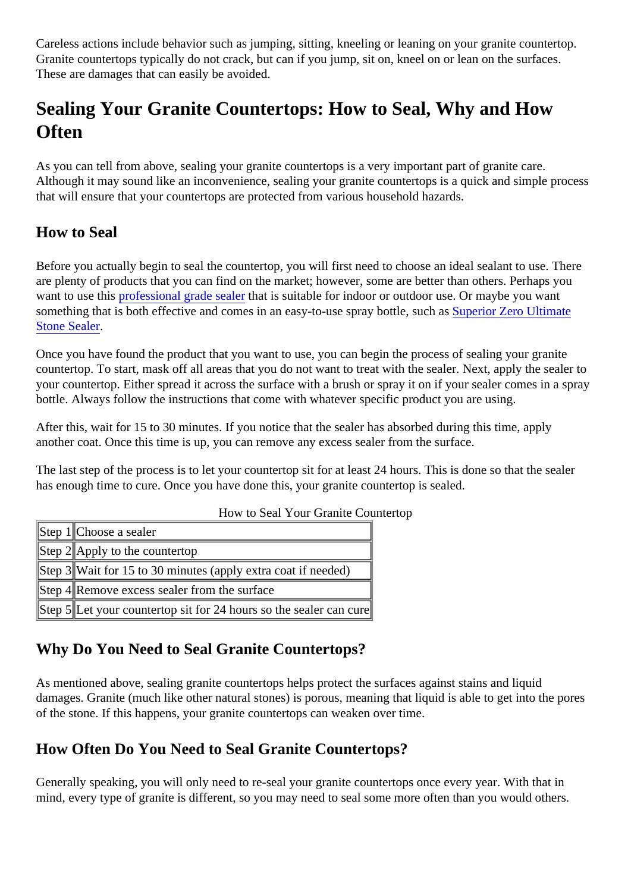<span id="page-1-0"></span>Careless actions include behavior such as jumping, sitting, kneeling or leaning on your granite countertop. Granite countertops typically do not crack, but can if you jump, sit on, kneel on or lean on the surfaces. These are damages that can easily be avoided.

## Sealing Your Granite Countertops: How to Seal, Why and How **Often**

As you can tell from above, sealing your granite countertops is a very important part of granite care. Although it may sound like an inconvenience, sealing your granite countertops is a quick and simple proce that will ensure that your countertops are protected from various household hazards.

## How to Seal

Before you actually begin to seal the countertop, you will first need to choose an ideal sealant to use. Their are plenty of products that you can find on the market; however, some are better than others. Perhaps you want to use this rofessional grade sealter at is suitable for indoor or outdoor use. Or maybe you want something that is both effective and comes in an easy-to-use spray bottle, **Superay** Zero Ultimate [Stone Seale](https://mrstone.com/collections/stone-care-products/products/zero-ultimate-stone-protector-in-a-spray-bottle?variant=1184251481)r.

Once you have found the product that you want to use, you can begin the process of sealing your granite countertop. To start, mask off all areas that you do not want to treat with the sealer. Next, apply the sealer your countertop. Either spread it across the surface with a brush or spray it on if your sealer comes in a sp bottle. Always follow the instructions that come with whatever specific product you are using.

After this, wait for 15 to 30 minutes. If you notice that the sealer has absorbed during this time, apply another coat. Once this time is up, you can remove any excess sealer from the surface.

The last step of the process is to let your countertop sit for at least 24 hours. This is done so that the seale has enough time to cure. Once you have done this, your granite countertop is sealed.

| How to Sear Four Grante Counter                                    |  |
|--------------------------------------------------------------------|--|
| Step 1 Choose a sealer                                             |  |
| Step #Apply to the countertop                                      |  |
| Step 3Wait for 15 to 30 minutes (apply extra coat if needed)       |  |
| Step 4 Remove excess sealer from the surface                       |  |
| Step \$Let your countertop sit for 24 hours so the sealer car cure |  |

#### How to Seal Your Granite Countertop

#### Why Do You Need to Seal Granite Countertops?

As mentioned above, sealing granite countertops helps protect the surfaces against stains and liquid damages. Granite (much like other natural stones) is porous, meaning that liquid is able to get into the por of the stone. If this happens, your granite countertops can weaken over time.

## How Often Do You Need to Seal Granite Countertops?

Generally speaking, you will only need to re-seal your granite countertops once every year. With that in mind, every type of granite is different, so you may need to seal some more often than you would others.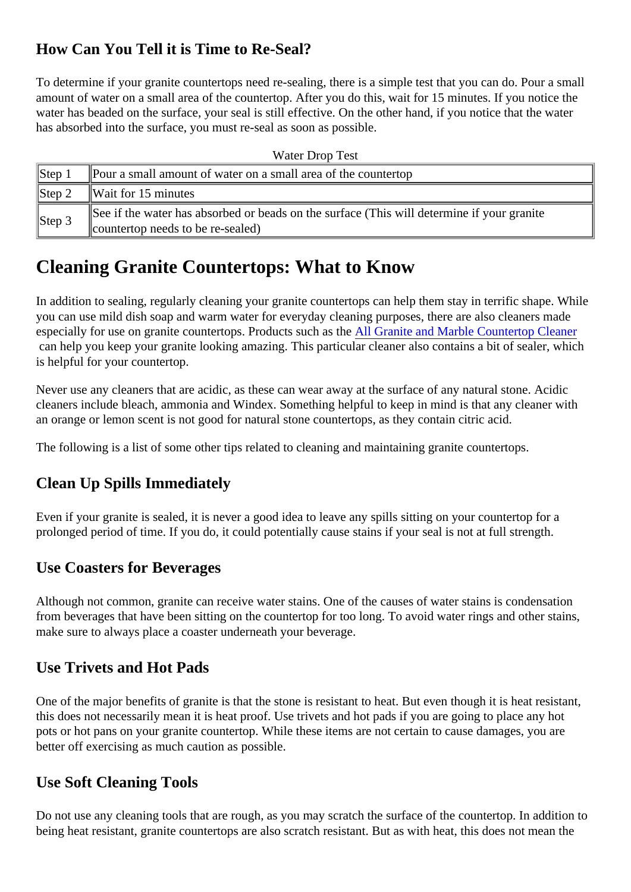## <span id="page-2-0"></span>How Can You Tell it is Time to Re-Seal?

To determine if your granite countertops need re-sealing, there is a simple test that you can do. Pour a small amount of water on a small area of the countertop. After you do this, wait for 15 minutes. If you notice the water has beaded on the surface, your seal is still effective. On the other hand, if you notice that the water has absorbed into the surface, you must re-seal as soon as possible.

| <b>Water Drop Test</b>       |                                                                                                                                 |  |  |  |
|------------------------------|---------------------------------------------------------------------------------------------------------------------------------|--|--|--|
| $\vert$ Step 1               | Pour a small amount of water on a small area of the countertop                                                                  |  |  |  |
| $\blacktriangleright$ Step 2 | Wait for 15 minutes                                                                                                             |  |  |  |
| $\vert$ Step 3               | See if the water has absorbed or beads on the surface (This will determine if your granite<br>countertop needs to be re-sealed) |  |  |  |

## Cleaning Granite Countertops: What to Know

In addition to sealing, regularly cleaning your granite countertops can help them stay in terrific shape. While you can use mild dish soap and warm water for everyday cleaning purposes, there are also cleaners made especially for use on granite countertops. Products such **As the All Granite and Marble Countertop Cleaner** can help you keep your granite looking amazing. This particular cleaner also contains a bit of sealer, which is helpful for your countertop.

Never use any cleaners that are acidic, as these can wear away at the surface of any natural stone. Acidic cleaners include bleach, ammonia and Windex. Something helpful to keep in mind is that any cleaner with an orange or lemon scent is not good for natural stone countertops, as they contain citric acid.

The following is a list of some other tips related to cleaning and maintaining granite countertops.

#### Clean Up Spills Immediately

Even if your granite is sealed, it is never a good idea to leave any spills sitting on your countertop for a prolonged period of time. If you do, it could potentially cause stains if your seal is not at full strength.

## Use Coasters for Beverages

Although not common, granite can receive water stains. One of the causes of water stains is condensation from beverages that have been sitting on the countertop for too long. To avoid water rings and other stains, make sure to always place a coaster underneath your beverage.

#### Use Trivets and Hot Pads

One of the major benefits of granite is that the stone is resistant to heat. But even though it is heat resistar this does not necessarily mean it is heat proof. Use trivets and hot pads if you are going to place any hot pots or hot pans on your granite countertop. While these items are not certain to cause damages, you are better off exercising as much caution as possible.

#### Use Soft Cleaning Tools

Do not use any cleaning tools that are rough, as you may scratch the surface of the countertop. In additior being heat resistant, granite countertops are also scratch resistant. But as with heat, this does not mean the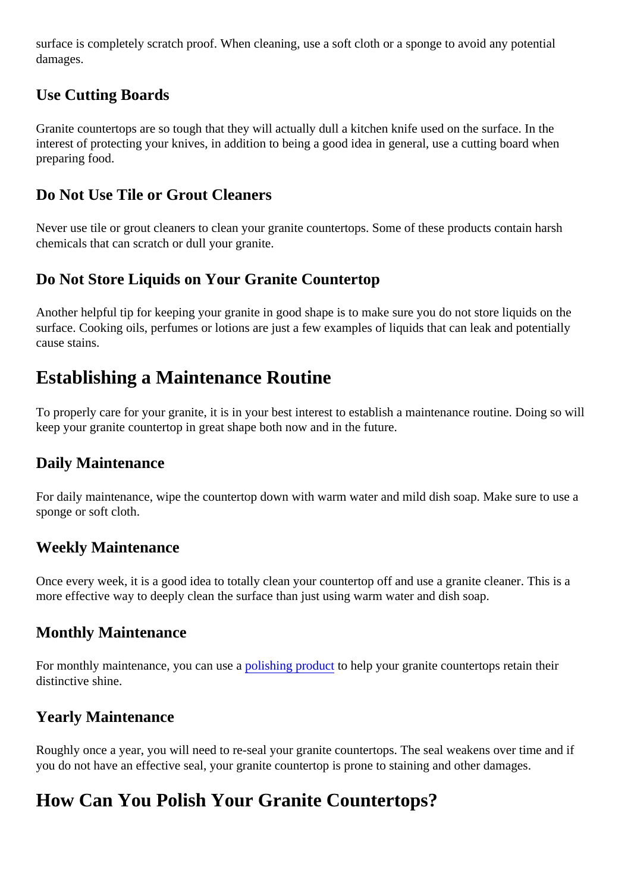<span id="page-3-0"></span>surface is completely scratch proof. When cleaning, use a soft cloth or a sponge to avoid any potential damages.

### Use Cutting Boards

Granite countertops are so tough that they will actually dull a kitchen knife used on the surface. In the interest of protecting your knives, in addition to being a good idea in general, use a cutting board when preparing food.

### Do Not Use Tile or Grout Cleaners

Never use tile or grout cleaners to clean your granite countertops. Some of these products contain harsh chemicals that can scratch or dull your granite.

### Do Not Store Liquids on Your Granite Countertop

Another helpful tip for keeping your granite in good shape is to make sure you do not store liquids on the surface. Cooking oils, perfumes or lotions are just a few examples of liquids that can leak and potentially cause stains.

## Establishing a Maintenance Routine

To properly care for your granite, it is in your best interest to establish a maintenance routine. Doing so will keep your granite countertop in great shape both now and in the future.

#### Daily Maintenance

For daily maintenance, wipe the countertop down with warm water and mild dish soap. Make sure to use a sponge or soft cloth.

#### Weekly Maintenance

Once every week, it is a good idea to totally clean your countertop off and use a granite cleaner. This is a more effective way to deeply clean the surface than just using warm water and dish soap.

#### Monthly Maintenance

Formonthly maintenance, you can use bishing producto help your granite countertops retain their distinctive shine.

#### Yearly Maintenance

Roughly once a year, you will need to re-seal your granite countertops. The seal weakens over time and if you do not have an effective seal, your granite countertop is prone to staining and other damages.

## How Can You Polish Your Granite Countertops?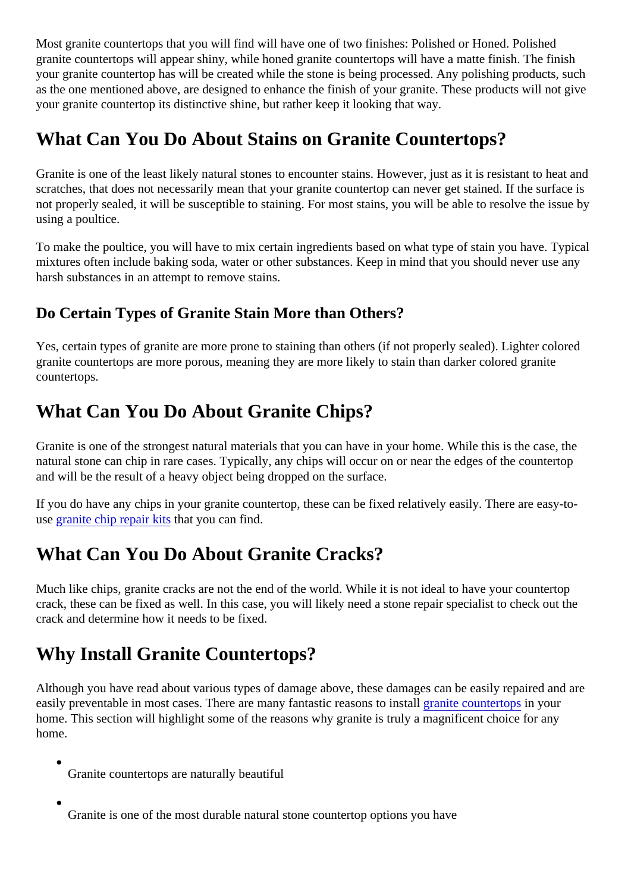<span id="page-4-0"></span>Most granite countertops that you will find will have one of two finishes: Polished or Honed. Polished granite countertops will appear shiny, while honed granite countertops will have a matte finish. The finish your granite countertop has will be created while the stone is being processed. Any polishing products, su as the one mentioned above, are designed to enhance the finish of your granite. These products will not go your granite countertop its distinctive shine, but rather keep it looking that way.

## What Can You Do About Stains on Granite Countertops?

Granite is one of the least likely natural stones to encounter stains. However, just as it is resistant to heat scratches, that does not necessarily mean that your granite countertop can never get stained. If the surface not properly sealed, it will be susceptible to staining. For most stains, you will be able to resolve the issue using a poultice.

To make the poultice, you will have to mix certain ingredients based on what type of stain you have. Typical mixtures often include baking soda, water or other substances. Keep in mind that you should never use are harsh substances in an attempt to remove stains.

## Do Certain Types of Granite Stain More than Others?

Yes, certain types of granite are more prone to staining than others (if not properly sealed). Lighter colored granite countertops are more porous, meaning they are more likely to stain than darker colored granite countertops.

## What Can You Do About Granite Chips?

Granite is one of the strongest natural materials that you can have in your home. While this is the case, the natural stone can chip in rare cases. Typically, any chips will occur on or near the edges of the countertop and will be the result of a heavy object being dropped on the surface.

If you do have any chips in your granite countertop, these can be fixed relatively easily. There are easy-tousegranite chip repair kitthat you can find.

# What Can You Do About Granite Cracks?

Much like chips, granite cracks are not the end of the world. While it is not ideal to have your countertop crack, these can be fixed as well. In this case, you will likely need a stone repair specialist to check out the crack and determine how it needs to be fixed.

## Why Install Granite Countertops?

Although you have read about various types of damage above, these damages can be easily repaired and easilypreventable in most cases. There are many fantastic reasons to install countertopin your home. This section will highlight some of the reasons why granite is truly a magnificent choice for any home.

- Granite countertops are naturally beautiful
- Granite is one of the most durable natural stone countertop options you have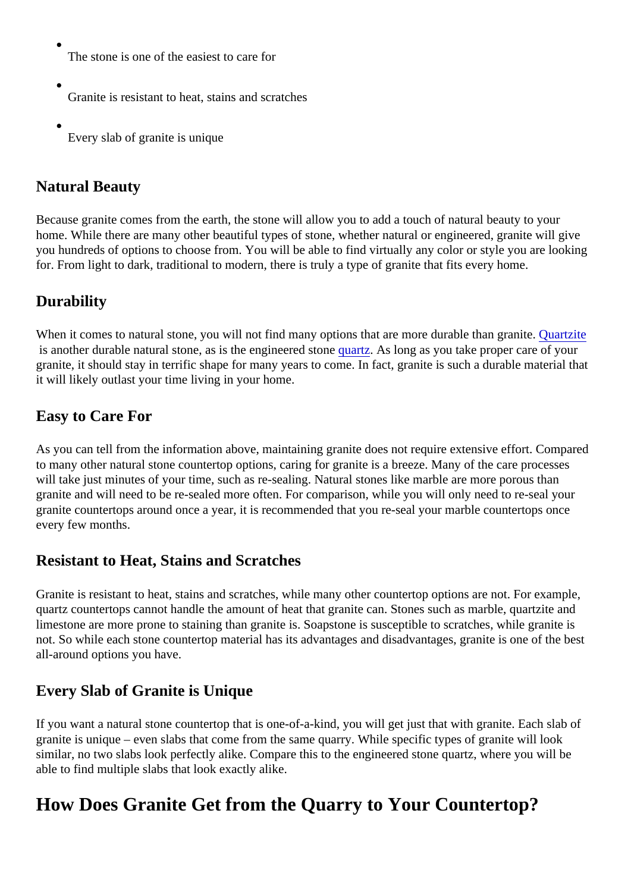- <span id="page-5-0"></span>The stone is one of the easiest to care for
- Granite is resistant to heat, stains and scratches
- Every slab of granite is unique

## Natural Beauty

Because granite comes from the earth, the stone will allow you to add a touch of natural beauty to your home. While there are many other beautiful types of stone, whether natural or engineered, granite will give you hundreds of options to choose from. You will be able to find virtually any color or style you are looking for. From light to dark, traditional to modern, there is truly a type of granite that fits every home.

## **Durability**

When it comes to natural stone, you will not find many options that are more durable than Granitate is another durable natural stone, as is the engineered starte As long as you take proper care of your granite, it should stay in terrific shape for many years to come. In fact, granite is such a durable material th it will likely outlast your time living in your home.

### Easy to Care For

As you can tell from the information above, maintaining granite does not require extensive effort. Compare to many other natural stone countertop options, caring for granite is a breeze. Many of the care processes will take just minutes of your time, such as re-sealing. Natural stones like marble are more porous than granite and will need to be re-sealed more often. For comparison, while you will only need to re-seal your granite countertops around once a year, it is recommended that you re-seal your marble countertops once every few months.

## Resistant to Heat, Stains and Scratches

Granite is resistant to heat, stains and scratches, while many other countertop options are not. For examp quartz countertops cannot handle the amount of heat that granite can. Stones such as marble, quartzite and limestone are more prone to staining than granite is. Soapstone is susceptible to scratches, while granite is not. So while each stone countertop material has its advantages and disadvantages, granite is one of the all-around options you have.

## Every Slab of Granite is Unique

If you want a natural stone countertop that is one-of-a-kind, you will get just that with granite. Each slab of granite is unique – even slabs that come from the same quarry. While specific types of granite will look similar, no two slabs look perfectly alike. Compare this to the engineered stone quartz, where you will be able to find multiple slabs that look exactly alike.

## How Does Granite Get from the Quarry to Your Countertop?